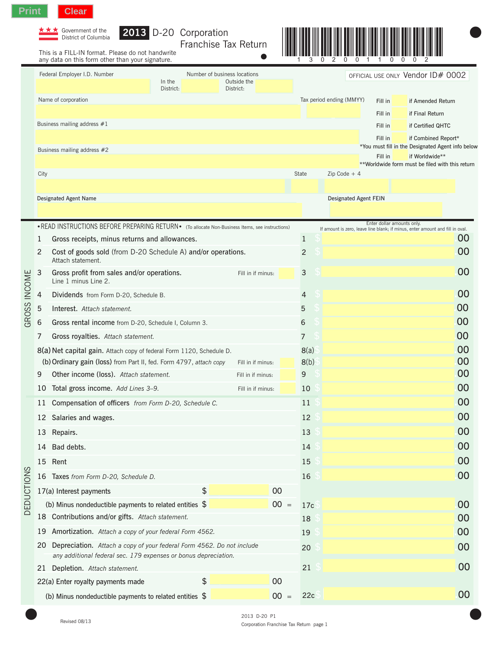

| $\star \star \star$ Government of the |
|---------------------------------------|
| District of Colum                     |

| Government of the    |  | <b>2013</b> D-20 Corporation |  |
|----------------------|--|------------------------------|--|
| District of Columbia |  |                              |  |

Franchise Tax Return

This is a FILL-IN format. Please do not handwrite



 $\bullet$ 

|                  |                | This is a FILL-IN format. Please do not handwrite<br>any data on this form other than your signature. |                     |                                                          |        |                | $\mathbf{0}$ | $\mathbf{0}$<br>0        | $\Omega$                   | $\Omega$                                                                      |    |
|------------------|----------------|-------------------------------------------------------------------------------------------------------|---------------------|----------------------------------------------------------|--------|----------------|--------------|--------------------------|----------------------------|-------------------------------------------------------------------------------|----|
|                  |                | Federal Employer I.D. Number                                                                          | In the<br>District: | Number of business locations<br>Outside the<br>District: |        |                |              |                          |                            | OFFICIAL USE ONLY Vendor ID# 0002                                             |    |
|                  |                | Name of corporation                                                                                   |                     |                                                          |        |                |              | Tax period ending (MMYY) | Fill in                    | if Amended Return                                                             |    |
|                  |                |                                                                                                       |                     |                                                          |        |                |              |                          | Fill in                    | if Final Return                                                               |    |
|                  |                | Business mailing address #1                                                                           |                     |                                                          |        |                |              |                          | Fill in                    | if Certified QHTC                                                             |    |
|                  |                |                                                                                                       |                     |                                                          |        |                |              |                          | Fill in                    | if Combined Report*                                                           |    |
|                  |                | Business mailing address #2                                                                           |                     |                                                          |        |                |              |                          | Fill in                    | *You must fill in the Designated Agent info below<br>if Worldwide**           |    |
|                  |                |                                                                                                       |                     |                                                          |        |                |              |                          |                            | **Worldwide form must be filed with this return                               |    |
|                  | City           |                                                                                                       |                     |                                                          |        | State          |              | $Zip Code + 4$           |                            |                                                                               |    |
|                  |                | Designated Agent Name                                                                                 |                     |                                                          |        |                |              | Designated Agent FEIN    |                            |                                                                               |    |
|                  |                |                                                                                                       |                     |                                                          |        |                |              |                          |                            |                                                                               |    |
|                  |                | • READ INSTRUCTIONS BEFORE PREPARING RETURN • (To allocate Non-Business Items, see instructions)      |                     |                                                          |        |                |              |                          | Enter dollar amounts only. | If amount is zero, leave line blank; if minus, enter amount and fill in oval. |    |
|                  | 1              | Gross receipts, minus returns and allowances.                                                         |                     |                                                          |        | $\mathbf{1}$   |              |                          |                            |                                                                               | 00 |
|                  | $\overline{2}$ | Cost of goods sold (from D-20 Schedule A) and/or operations.<br>Attach statement.                     |                     |                                                          |        | $\overline{c}$ |              |                          |                            |                                                                               | 00 |
| GROSS INCOME     | 3              | Gross profit from sales and/or operations.<br>Line 1 minus Line 2.                                    |                     | Fill in if minus:                                        |        | 3              |              |                          |                            |                                                                               | 00 |
|                  | 4              | Dividends from Form D-20, Schedule B.                                                                 |                     |                                                          |        | $\overline{4}$ |              |                          |                            |                                                                               | 00 |
|                  | 5              | Interest. Attach statement.                                                                           |                     |                                                          |        | 5              |              |                          |                            |                                                                               | 00 |
|                  | 6              | Gross rental income from D-20, Schedule I, Column 3.                                                  |                     |                                                          |        | 6              |              |                          |                            |                                                                               | 00 |
|                  | 7              | Gross royalties. Attach statement.                                                                    |                     |                                                          |        | 7              |              |                          |                            |                                                                               | 00 |
|                  |                | 8(a) Net capital gain. Attach copy of federal Form 1120, Schedule D.                                  |                     |                                                          |        | 8(a)           |              |                          |                            |                                                                               | 00 |
|                  |                | (b) Ordinary gain (loss) from Part II, fed. Form 4797, attach copy                                    |                     | Fill in if minus:                                        |        | 8(b)           |              |                          |                            |                                                                               | 00 |
|                  | 9              | <b>Other income (loss).</b> Attach statement.                                                         |                     | Fill in if minus:                                        |        | 9              |              |                          |                            |                                                                               | 00 |
|                  | 10             | Total gross income. Add Lines 3-9.                                                                    |                     | Fill in if minus:                                        |        | 10             |              |                          |                            |                                                                               | 00 |
|                  | 11             | Compensation of officers from Form D-20, Schedule C.                                                  |                     |                                                          |        | 11             |              |                          |                            |                                                                               | 00 |
|                  |                | 12 Salaries and wages.                                                                                |                     |                                                          |        | 12             |              |                          |                            |                                                                               | 00 |
|                  | 13             | Repairs.                                                                                              |                     |                                                          |        | 13             |              |                          |                            |                                                                               | 00 |
|                  | 14             | Bad debts.                                                                                            |                     |                                                          |        | 14             |              |                          |                            |                                                                               | 00 |
|                  | 15             | Rent                                                                                                  |                     |                                                          |        | 15             |              |                          |                            |                                                                               | 00 |
| <b>EDUCTIONS</b> | 16             | Taxes from Form D-20, Schedule D.                                                                     |                     |                                                          |        | 16             |              |                          |                            |                                                                               | 00 |
|                  |                | 17(a) Interest payments                                                                               |                     | \$                                                       | 00     |                |              |                          |                            |                                                                               |    |
|                  |                | (b) Minus nondeductible payments to related entities $$$                                              |                     |                                                          | $00 =$ | 17c            |              |                          |                            |                                                                               | 00 |
| $\Box$           | 18             | Contributions and/or gifts. Attach statement.                                                         |                     |                                                          |        | 18             |              |                          |                            |                                                                               | 00 |
|                  | 19             | Amortization. Attach a copy of your federal Form 4562.                                                |                     |                                                          |        | 19             |              |                          |                            |                                                                               | 00 |
|                  | 20             | Depreciation. Attach a copy of your federal Form 4562. Do not include                                 |                     |                                                          |        | 20             |              |                          |                            |                                                                               | 00 |

(b) Minus nondeductible payments to related entities  $\sin \theta = 00$  =

<sup>21</sup> \$ .**.**00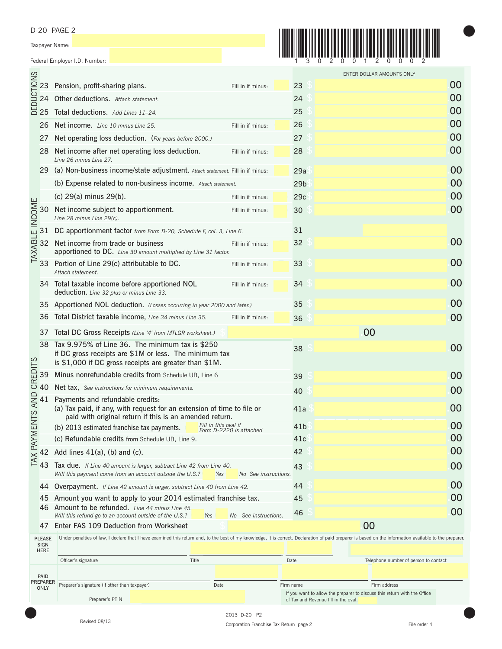D-20 PAGE 2

Taxpayer Name:

DEDUCTIONS

TAXABLE INCOME

TAX PAYMENTS AND CREDITS



 $\bullet$ 

|      |                                                                                                                                                                                                                |                         |                 | ENTER DOLLAR AMOUNTS ONLY |    |
|------|----------------------------------------------------------------------------------------------------------------------------------------------------------------------------------------------------------------|-------------------------|-----------------|---------------------------|----|
|      | 23 Pension, profit-sharing plans.                                                                                                                                                                              | Fill in if minus:       | 23              |                           | 00 |
|      | 24 Other deductions. Attach statement.                                                                                                                                                                         |                         | 24              |                           | 00 |
|      | 25 Total deductions. Add Lines 11-24.                                                                                                                                                                          |                         | 25              |                           | 00 |
|      | 26 Net income. Line 10 minus Line 25.                                                                                                                                                                          | Fill in if minus:       | 26              |                           | 00 |
| 27   | Net operating loss deduction. (For years before 2000.)                                                                                                                                                         |                         | 27              |                           | 00 |
|      | 28 Net income after net operating loss deduction.<br>Line 26 minus Line 27.                                                                                                                                    | Fill in if minus:       | 28              |                           | 00 |
|      | 29 (a) Non-business income/state adjustment. Attach statement. Fill in if minus:                                                                                                                               |                         | 29a             |                           | 00 |
|      | (b) Expense related to non-business income. Attach statement.                                                                                                                                                  |                         | 29 <sub>b</sub> |                           | 00 |
|      | (c) 29(a) minus 29(b).                                                                                                                                                                                         | Fill in if minus:       | 29c             |                           | 00 |
| 30 - | Net income subject to apportionment.<br>Line 28 minus Line 29(c).                                                                                                                                              | Fill in if minus:       | 30              |                           | 00 |
|      | 31 DC apportionment factor from Form D-20, Schedule F, col. 3, Line 6.                                                                                                                                         |                         | 31              |                           |    |
|      | 32 Net income from trade or business<br>apportioned to DC. Line 30 amount multiplied by Line 31 factor.                                                                                                        | Fill in if minus:       | 32              |                           | 00 |
|      | 33 Portion of Line 29(c) attributable to DC.<br>Attach statement.                                                                                                                                              | Fill in if minus:       | 33              |                           | 00 |
|      | 34 Total taxable income before apportioned NOL<br>deduction. Line 32 plus or minus Line 33.                                                                                                                    | Fill in if minus:       | 34              |                           | 00 |
|      | 35 Apportioned NOL deduction. (Losses occurring in year 2000 and later.)                                                                                                                                       |                         | 35              |                           | 00 |
|      | 36 Total District taxable income, Line 34 minus Line 35.                                                                                                                                                       | Fill in if minus:       | 36              |                           | 00 |
|      | 37 Total DC Gross Receipts (Line '4' from MTLGR worksheet.)                                                                                                                                                    |                         |                 | 00                        |    |
|      | 38 Tax 9.975% of Line 36. The minimum tax is \$250<br>if DC gross receipts are \$1M or less. The minimum tax<br>is \$1,000 if DC gross receipts are greater than \$1M.                                         |                         | 38              |                           | 00 |
|      | 39 Minus nonrefundable credits from Schedule UB, Line 6                                                                                                                                                        |                         | 39              |                           | 00 |
|      | 40 Net tax, See instructions for minimum requirements.                                                                                                                                                         |                         | 40              |                           | 00 |
|      | 41 Payments and refundable credits:<br>(a) Tax paid, if any, with request for an extension of time to file or<br>paid with original return if this is an amended return.                                       |                         | 41a             |                           | 00 |
|      | Fill in this oval if<br>(b) 2013 estimated franchise tax payments.                                                                                                                                             | Form D-2220 is attached | 41 <sub>b</sub> |                           | 00 |
|      | (c) Refundable credits from Schedule UB, Line 9.                                                                                                                                                               |                         | 41c             |                           | 00 |
|      | 42 Add lines 41(a), (b) and (c).                                                                                                                                                                               |                         | 42              |                           | 00 |
| 43 - | Tax due. If Line 40 amount is larger, subtract Line 42 from Line 40.<br>Will this payment come from an account outside the U.S.?<br>Yes                                                                        | No See instructions.    | 43              |                           | 00 |
| 44   | <b>Overpayment.</b> If Line 42 amount is larger, subtract Line 40 from Line 42.                                                                                                                                |                         | 44              |                           | 00 |
| 45   | Amount you want to apply to your 2014 estimated franchise tax.                                                                                                                                                 |                         | 45              |                           | 00 |
|      | 46 Amount to be refunded. Line 44 minus Line 45.<br>Will this refund go to an account outside of the U.S.?<br>Yes                                                                                              | No See instructions.    | 46              |                           | 00 |
| 47   | Enter FAS 109 Deduction from Worksheet                                                                                                                                                                         |                         |                 | 00                        |    |
|      | $FASF$ Under penalties of law, I declare that I have examined this return and, to the best of my knowledge, it is correct. Declaration of paid preparer is based on the information available to the preparer. |                         |                 |                           |    |

PLEASE SIGN HERE PAID<br>PREPARER<br>ONLY Preparer's signature (if other than taxpayer) Date Firm name Firm name Firm address Telephone number of person to contact Officer's signature Date Date Controller Controller Controller Controller Date Date

Preparer's PTIN



If you want to allow the preparer to discuss this return with the Office

of Tax and Revenue fill in the oval.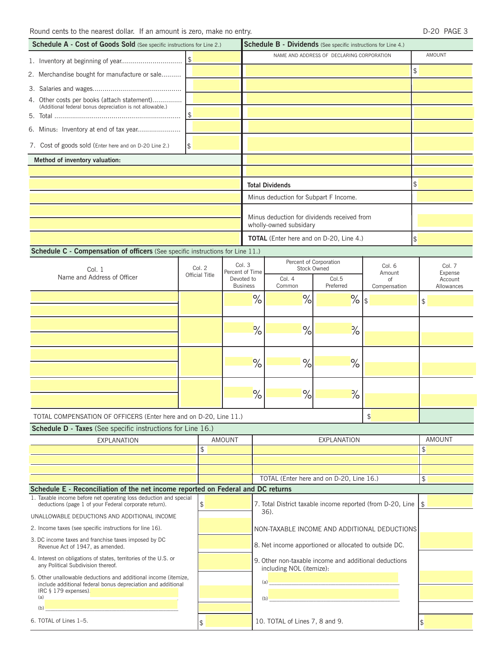| Schedule A - Cost of Goods Sold (See specific instructions for Line 2.)                                                                               |               |                       |        | <b>Schedule B - Dividends</b> (See specific instructions for Line 4.) |                                                                                                                                                                                                                                                                                                                                    |                                           |               |               |                    |  |
|-------------------------------------------------------------------------------------------------------------------------------------------------------|---------------|-----------------------|--------|-----------------------------------------------------------------------|------------------------------------------------------------------------------------------------------------------------------------------------------------------------------------------------------------------------------------------------------------------------------------------------------------------------------------|-------------------------------------------|---------------|---------------|--------------------|--|
|                                                                                                                                                       |               |                       |        |                                                                       |                                                                                                                                                                                                                                                                                                                                    | NAME AND ADDRESS OF DECLARING CORPORATION |               |               | AMOUNT             |  |
| 2. Merchandise bought for manufacture or sale                                                                                                         |               |                       |        |                                                                       |                                                                                                                                                                                                                                                                                                                                    |                                           |               | \$            |                    |  |
|                                                                                                                                                       |               |                       |        |                                                                       |                                                                                                                                                                                                                                                                                                                                    |                                           |               |               |                    |  |
| 4. Other costs per books (attach statement)                                                                                                           |               |                       |        |                                                                       |                                                                                                                                                                                                                                                                                                                                    |                                           |               |               |                    |  |
| (Additional federal bonus depreciation is not allowable.)                                                                                             | $\frac{1}{2}$ |                       |        |                                                                       |                                                                                                                                                                                                                                                                                                                                    |                                           |               |               |                    |  |
|                                                                                                                                                       |               |                       |        |                                                                       |                                                                                                                                                                                                                                                                                                                                    |                                           |               |               |                    |  |
| 6. Minus: Inventory at end of tax year                                                                                                                |               |                       |        |                                                                       |                                                                                                                                                                                                                                                                                                                                    |                                           |               |               |                    |  |
| 7. Cost of goods sold (Enter here and on D-20 Line 2.)<br>\$                                                                                          |               |                       |        |                                                                       |                                                                                                                                                                                                                                                                                                                                    |                                           |               |               |                    |  |
| Method of inventory valuation:                                                                                                                        |               |                       |        |                                                                       |                                                                                                                                                                                                                                                                                                                                    |                                           |               |               |                    |  |
|                                                                                                                                                       |               |                       |        |                                                                       |                                                                                                                                                                                                                                                                                                                                    |                                           |               |               |                    |  |
|                                                                                                                                                       |               |                       |        |                                                                       | <b>Total Dividends</b>                                                                                                                                                                                                                                                                                                             |                                           |               | \$            |                    |  |
|                                                                                                                                                       |               |                       |        |                                                                       | Minus deduction for Subpart F Income.                                                                                                                                                                                                                                                                                              |                                           |               |               |                    |  |
|                                                                                                                                                       |               |                       |        |                                                                       | Minus deduction for dividends received from<br>wholly-owned subsidary                                                                                                                                                                                                                                                              |                                           |               |               |                    |  |
|                                                                                                                                                       |               |                       |        |                                                                       | <b>TOTAL</b> (Enter here and on D-20, Line 4.)                                                                                                                                                                                                                                                                                     |                                           |               | $\frac{1}{2}$ |                    |  |
| Schedule C - Compensation of officers (See specific instructions for Line 11.)                                                                        |               |                       |        |                                                                       |                                                                                                                                                                                                                                                                                                                                    |                                           |               |               |                    |  |
|                                                                                                                                                       |               | Col. 2                |        | Col. 3                                                                | Percent of Corporation<br><b>Stock Owned</b>                                                                                                                                                                                                                                                                                       |                                           | Col. 6        |               | Col. 7             |  |
| Col. 1<br>Name and Address of Officer                                                                                                                 |               | <b>Official Title</b> |        | Percent of Time<br>Devoted to                                         | Col. 4                                                                                                                                                                                                                                                                                                                             | Col.5                                     | Amount<br>of  |               | Expense<br>Account |  |
|                                                                                                                                                       |               |                       |        | <b>Business</b>                                                       | Common                                                                                                                                                                                                                                                                                                                             | Preferred                                 | Compensation  |               | Allowances         |  |
|                                                                                                                                                       |               |                       |        | $\%$                                                                  | %                                                                                                                                                                                                                                                                                                                                  | $\frac{9}{5}$                             |               | $\frac{1}{2}$ |                    |  |
|                                                                                                                                                       |               |                       |        |                                                                       |                                                                                                                                                                                                                                                                                                                                    |                                           |               |               |                    |  |
|                                                                                                                                                       |               |                       |        | $\frac{1}{\sqrt{2}}$                                                  | %                                                                                                                                                                                                                                                                                                                                  | $\frac{1}{\sqrt{2}}$                      |               |               |                    |  |
|                                                                                                                                                       |               |                       |        |                                                                       |                                                                                                                                                                                                                                                                                                                                    |                                           |               |               |                    |  |
|                                                                                                                                                       |               |                       |        | $\%$                                                                  | %                                                                                                                                                                                                                                                                                                                                  | $\%$                                      |               |               |                    |  |
|                                                                                                                                                       |               |                       |        |                                                                       |                                                                                                                                                                                                                                                                                                                                    |                                           |               |               |                    |  |
|                                                                                                                                                       |               |                       |        |                                                                       |                                                                                                                                                                                                                                                                                                                                    |                                           |               |               |                    |  |
|                                                                                                                                                       |               |                       |        | $\%$                                                                  | %                                                                                                                                                                                                                                                                                                                                  | $\frac{1}{2}$                             |               |               |                    |  |
| TOTAL COMPENSATION OF OFFICERS (Enter here and on D-20, Line 11.)                                                                                     |               |                       |        |                                                                       |                                                                                                                                                                                                                                                                                                                                    |                                           | $\frac{1}{2}$ |               |                    |  |
| Schedule D - Taxes (See specific instructions for Line 16.)                                                                                           |               |                       |        |                                                                       |                                                                                                                                                                                                                                                                                                                                    |                                           |               |               |                    |  |
| <b>EXPLANATION</b>                                                                                                                                    |               |                       | AMOUNT |                                                                       |                                                                                                                                                                                                                                                                                                                                    | <b>EXPLANATION</b>                        |               |               | <b>AMOUNT</b>      |  |
|                                                                                                                                                       |               | $\frac{1}{2}$         |        |                                                                       |                                                                                                                                                                                                                                                                                                                                    |                                           |               | \$            |                    |  |
|                                                                                                                                                       |               |                       |        |                                                                       |                                                                                                                                                                                                                                                                                                                                    |                                           |               |               |                    |  |
|                                                                                                                                                       |               |                       |        |                                                                       | TOTAL (Enter here and on D-20, Line 16.)                                                                                                                                                                                                                                                                                           |                                           |               | \$            |                    |  |
| Schedule E - Reconciliation of the net income reported on Federal and DC returns<br>1. Taxable income before net operating loss deduction and special |               |                       |        |                                                                       |                                                                                                                                                                                                                                                                                                                                    |                                           |               |               |                    |  |
| deductions (page 1 of your Federal corporate return).                                                                                                 |               | \$                    |        |                                                                       | 7. Total District taxable income reported (from D-20, Line<br>36).                                                                                                                                                                                                                                                                 |                                           |               | \$            |                    |  |
| UNALLOWABLE DEDUCTIONS AND ADDITIONAL INCOME                                                                                                          |               |                       |        |                                                                       |                                                                                                                                                                                                                                                                                                                                    |                                           |               |               |                    |  |
| 2. Income taxes (see specific instructions for line 16).                                                                                              |               |                       |        |                                                                       | NON-TAXABLE INCOME AND ADDITIONAL DEDUCTIONS                                                                                                                                                                                                                                                                                       |                                           |               |               |                    |  |
| 3. DC income taxes and franchise taxes imposed by DC<br>Revenue Act of 1947, as amended.                                                              |               |                       |        |                                                                       | 8. Net income apportioned or allocated to outside DC.                                                                                                                                                                                                                                                                              |                                           |               |               |                    |  |
| 4. Interest on obligations of states, territories of the U.S. or<br>any Political Subdivision thereof.                                                |               |                       |        |                                                                       | 9. Other non-taxable income and additional deductions<br>including NOL (itemize):                                                                                                                                                                                                                                                  |                                           |               |               |                    |  |
| 5. Other unallowable deductions and additional income (itemize,<br>include additional federal bonus depreciation and additional                       |               |                       |        |                                                                       | $\overline{a}$ (a) $\overline{a}$ (a) $\overline{a}$ (a) $\overline{a}$ (a) $\overline{a}$ (a) $\overline{a}$ (a) $\overline{a}$ (a) $\overline{a}$ (a) $\overline{a}$ (a) $\overline{a}$ (a) $\overline{a}$ (a) $\overline{a}$ (a) $\overline{a}$ (a) $\overline{a}$ (a) $\overline{a}$ (a) $\overline{a}$ (a) $\overline{a}$ (a) |                                           |               |               |                    |  |
| IRC § 179 expenses).<br>(a)                                                                                                                           |               |                       |        |                                                                       | $\overline{a}$ (b) the contract of $\overline{a}$ and $\overline{a}$ and $\overline{a}$ and $\overline{a}$ and $\overline{a}$ and $\overline{a}$ and $\overline{a}$ and $\overline{a}$ and $\overline{a}$ and $\overline{a}$ and $\overline{a}$ and $\overline{a}$ and $\overline{a}$ and $\overline{a}$ and $\overline{a}$ a      |                                           |               |               |                    |  |
| (b)                                                                                                                                                   |               |                       |        |                                                                       |                                                                                                                                                                                                                                                                                                                                    |                                           |               |               |                    |  |
| 6. TOTAL of Lines 1-5.                                                                                                                                |               | $\mathfrak{P}$        |        |                                                                       | 10. TOTAL of Lines 7, 8 and 9.                                                                                                                                                                                                                                                                                                     |                                           |               | \$            |                    |  |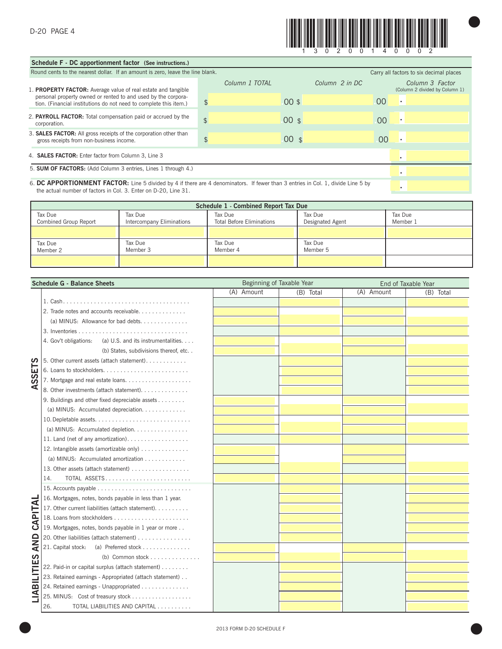

 $\bullet$ 

| Schedule F - DC apportionment factor (See instructions.)                                                                                                                                            |                |                      |                |                                                   |  |  |  |  |
|-----------------------------------------------------------------------------------------------------------------------------------------------------------------------------------------------------|----------------|----------------------|----------------|---------------------------------------------------|--|--|--|--|
| Round cents to the nearest dollar. If an amount is zero, leave the line blank.                                                                                                                      |                |                      |                | Carry all factors to six decimal places           |  |  |  |  |
| 1. <b>PROPERTY FACTOR:</b> Average value of real estate and tangible                                                                                                                                | Column 1 TOTAL | Column 2 in DC       |                | Column 3 Factor<br>(Column 2 divided by Column 1) |  |  |  |  |
| personal property owned or rented to and used by the corpora-<br>tion. (Financial institutions do not need to complete this item.)                                                                  | $\frac{1}{2}$  | $00$ \$              | 00             | ٠                                                 |  |  |  |  |
| 2. PAYROLL FACTOR: Total compensation paid or accrued by the<br>corporation.                                                                                                                        | $\frac{1}{2}$  | 00 <sub>s</sub>      | 0 <sup>0</sup> | ×                                                 |  |  |  |  |
| 3. <b>SALES FACTOR:</b> All gross receipts of the corporation other than<br>gross receipts from non-business income.                                                                                | \$             | 00<br>$\mathfrak{F}$ | 00             | х.                                                |  |  |  |  |
| 4. SALES FACTOR: Enter factor from Column 3, Line 3                                                                                                                                                 |                |                      |                |                                                   |  |  |  |  |
| 5. SUM OF FACTORS: (Add Column 3 entries, Lines 1 through 4.)                                                                                                                                       |                |                      |                |                                                   |  |  |  |  |
| 6. DC APPORTIONMENT FACTOR: Line 5 divided by 4 if there are 4 denominators. If fewer than 3 entries in Col. 1, divide Line 5 by<br>the actual number of factors in Col. 3. Enter on D-20, Line 31. |                |                      |                |                                                   |  |  |  |  |

|                                  | Schedule 1 - Combined Report Tax Due |                                             |                             |                     |  |  |  |  |  |  |
|----------------------------------|--------------------------------------|---------------------------------------------|-----------------------------|---------------------|--|--|--|--|--|--|
| Tax Due<br>Combined Group Report | Tax Due<br>Intercompany Eliminations | Tax Due<br><b>Total Before Eliminations</b> | Tax Due<br>Designated Agent | Tax Due<br>Member 1 |  |  |  |  |  |  |
|                                  |                                      |                                             |                             |                     |  |  |  |  |  |  |
| Tax Due<br>Member 2              | Tax Due<br>Member 3                  | Tax Due<br>Member 4                         | Tax Due<br>Member 5         |                     |  |  |  |  |  |  |
|                                  |                                      |                                             |                             |                     |  |  |  |  |  |  |

|                              | <b>Schedule G - Balance Sheets</b>                           | Beginning of Taxable Year |           | End of Taxable Year |           |  |
|------------------------------|--------------------------------------------------------------|---------------------------|-----------|---------------------|-----------|--|
|                              |                                                              | (A) Amount                | (B) Total | (A) Amount          | (B) Total |  |
|                              |                                                              |                           |           |                     |           |  |
|                              | 2. Trade notes and accounts receivable.                      |                           |           |                     |           |  |
|                              | (a) MINUS: Allowance for bad debts.                          |                           |           |                     |           |  |
|                              |                                                              |                           |           |                     |           |  |
|                              | (a) U.S. and its instrumentalities.<br>4. Gov't obligations: |                           |           |                     |           |  |
|                              | (b) States, subdivisions thereof, etc                        |                           |           |                     |           |  |
| ທ                            | 5. Other current assets (attach statement).                  |                           |           |                     |           |  |
| ш                            |                                                              |                           |           |                     |           |  |
| ഗ<br>ທ                       |                                                              |                           |           |                     |           |  |
| ⋖                            | 8. Other investments (attach statement).                     |                           |           |                     |           |  |
|                              | 9. Buildings and other fixed depreciable assets              |                           |           |                     |           |  |
|                              | (a) MINUS: Accumulated depreciation.                         |                           |           |                     |           |  |
|                              |                                                              |                           |           |                     |           |  |
|                              | (a) MINUS: Accumulated depletion.                            |                           |           |                     |           |  |
|                              | 11. Land (net of any amortization).                          |                           |           |                     |           |  |
|                              | 12. Intangible assets (amortizable only)                     |                           |           |                     |           |  |
|                              | (a) MINUS: Accumulated amortization                          |                           |           |                     |           |  |
|                              |                                                              |                           |           |                     |           |  |
|                              | 14.<br>TOTAL ASSETS                                          |                           |           |                     |           |  |
|                              |                                                              |                           |           |                     |           |  |
|                              | 16. Mortgages, notes, bonds payable in less than 1 year.     |                           |           |                     |           |  |
| <b>INT</b>                   | 17. Other current liabilities (attach statement).            |                           |           |                     |           |  |
| $\overline{\mathbf{a}}$<br>ਟ |                                                              |                           |           |                     |           |  |
| ں                            | 19. Mortgages, notes, bonds payable in 1 year or more        |                           |           |                     |           |  |
| $\Omega$                     | 20. Other liabilities (attach statement)                     |                           |           |                     |           |  |
| <b>Z</b>                     | 21. Capital stock:                                           |                           |           |                     |           |  |
|                              | (b) Common stock $\dots \dots \dots \dots$                   |                           |           |                     |           |  |
| ILITIES                      | 22. Paid-in or capital surplus (attach statement)            |                           |           |                     |           |  |
|                              | 23. Retained earnings - Appropriated (attach statement)      |                           |           |                     |           |  |
| $\overline{\mathbf{a}}$      | 24. Retained earnings - Unappropriated                       |                           |           |                     |           |  |
| ≦                            | 25. MINUS: Cost of treasury stock                            |                           |           |                     |           |  |
|                              | 26.<br>TOTAL LIABILITIES AND CAPITAL                         |                           |           |                     |           |  |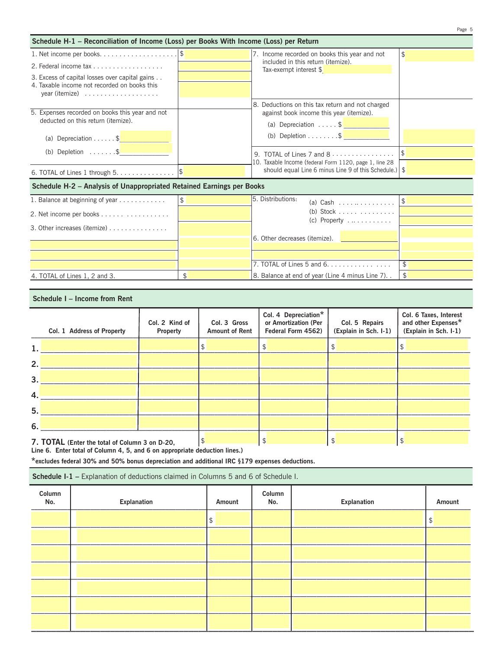|                                                                                          |               |                                                                                                                             | Page 5               |
|------------------------------------------------------------------------------------------|---------------|-----------------------------------------------------------------------------------------------------------------------------|----------------------|
| Schedule H-1 - Reconciliation of Income (Loss) per Books With Income (Loss) per Return   |               |                                                                                                                             |                      |
|                                                                                          |               | 7. Income recorded on books this year and not                                                                               | $\mathfrak{L}$       |
| 2. Federal income tax $\ldots$ , $\ldots$ , $\ldots$ , $\ldots$                          |               | included in this return (itemize).<br>Tax-exempt interest \$                                                                |                      |
| 3. Excess of capital losses over capital gains                                           |               |                                                                                                                             |                      |
| 4. Taxable income not recorded on books this<br>year (itemize) $\dots \dots \dots \dots$ |               |                                                                                                                             |                      |
|                                                                                          |               | 8. Deductions on this tax return and not charged                                                                            |                      |
| 5. Expenses recorded on books this year and not<br>deducted on this return (itemize).    |               | against book income this year (itemize).                                                                                    |                      |
|                                                                                          |               | (a) Depreciation $\ldots$ , $\frac{1}{2}$                                                                                   |                      |
| (a) Depreciation \$                                                                      |               | (b) Depletion $\ldots \ldots \ldots$ \$                                                                                     |                      |
| (b) Depletion $\dots \dots$ \$                                                           |               | 9. TOTAL of Lines 7 and $8 \ldots \ldots \ldots \ldots$                                                                     |                      |
| 6. TOTAL of Lines 1 through $5. \ldots \ldots \ldots \ldots$                             |               | 10. Taxable Income (federal Form 1120, page 1, line 28<br>should equal Line 6 minus Line 9 of this Schedule.) $\frac{1}{2}$ |                      |
| Schedule H-2 - Analysis of Unappropriated Retained Earnings per Books                    |               |                                                                                                                             |                      |
| 1. Balance at beginning of year                                                          | $\frac{1}{2}$ | 5. Distributions:<br>(a) Cash $\ldots$ , $\ldots$ , $\ldots$                                                                | $\frac{1}{\sqrt{2}}$ |
| 2. Net income per books                                                                  |               | (b) Stock $\ldots$ $\ldots$ $\ldots$                                                                                        |                      |
| 3. Other increases (itemize)                                                             |               | (c) Property $\dots \dots \dots$                                                                                            |                      |
|                                                                                          |               | 16. Other decreases (itemize).                                                                                              |                      |
|                                                                                          |               |                                                                                                                             |                      |
|                                                                                          |               |                                                                                                                             |                      |
|                                                                                          |               | $\overline{7}$ . TOTAL of Lines 5 and 6.                                                                                    | \$                   |
| 4. TOTAL of Lines 1, 2 and 3.                                                            | \$            | 8. Balance at end of year (Line 4 minus Line 7)                                                                             | \$                   |

## **Schedule I – Income from Rent**

|     | Col. 1 Address of Property                     | Col. 2 Kind of<br>Property | Col. 3 Gross<br><b>Amount of Rent</b> | Col. 4 Depreciation*<br>or Amortization (Per<br>Federal Form 4562) | Col. 5 Repairs<br>(Explain in Sch. I-1) | Col. 6 Taxes, Interest<br>and other Expenses*<br>(Explain in Sch. I-1) |
|-----|------------------------------------------------|----------------------------|---------------------------------------|--------------------------------------------------------------------|-----------------------------------------|------------------------------------------------------------------------|
| 1.  |                                                |                            |                                       | S                                                                  | Ъ                                       |                                                                        |
| 2.1 |                                                |                            |                                       |                                                                    |                                         |                                                                        |
| 3.1 |                                                |                            |                                       |                                                                    |                                         |                                                                        |
| 4.  |                                                |                            |                                       |                                                                    |                                         |                                                                        |
| 5.  |                                                |                            |                                       |                                                                    |                                         |                                                                        |
| 6.  |                                                |                            |                                       |                                                                    |                                         |                                                                        |
|     | 7. TOTAL (Enter the total of Column 3 on D-20. |                            |                                       |                                                                    |                                         |                                                                        |

**7. TOTAL (Enter the total of Column 3 on D-20,** 

**Line 6. Enter total of Column 4, 5, and 6 on appropriate deduction lines.)**

**\*excludes federal 30% and 50% bonus depreciation and additional IRC §179 expenses deductions.**

**Schedule I-1 –** Explanation of deductions claimed in Columns 5 and 6 of Schedule I.

| Column<br>No. | Explanation | Amount | Column<br>No. | Explanation | Amount |
|---------------|-------------|--------|---------------|-------------|--------|
|               |             | \$     |               |             | \$     |
|               |             |        |               |             |        |
|               |             |        |               |             |        |
|               |             |        |               |             |        |
|               |             |        |               |             |        |
|               |             |        |               |             |        |
|               |             |        |               |             |        |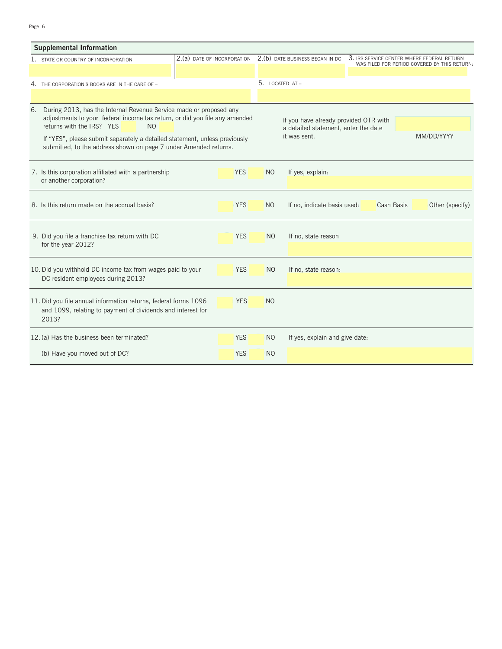## Page 6

|    | <b>Supplemental Information</b>                                                                                                                                                                 |                             |            |                                                                               |                                 |                   |                                                                                            |
|----|-------------------------------------------------------------------------------------------------------------------------------------------------------------------------------------------------|-----------------------------|------------|-------------------------------------------------------------------------------|---------------------------------|-------------------|--------------------------------------------------------------------------------------------|
|    | 1. STATE OR COUNTRY OF INCORPORATION                                                                                                                                                            | 2.(a) DATE OF INCORPORATION |            |                                                                               | 2.(b) DATE BUSINESS BEGAN IN DC |                   | 3. IRS SERVICE CENTER WHERE FEDERAL RETURN<br>WAS FILED FOR PERIOD COVERED BY THIS RETURN: |
|    |                                                                                                                                                                                                 |                             |            |                                                                               |                                 |                   |                                                                                            |
|    | 4. THE CORPORATION'S BOOKS ARE IN THE CARE OF -                                                                                                                                                 |                             |            | 5. LOCATED AT -                                                               |                                 |                   |                                                                                            |
|    |                                                                                                                                                                                                 |                             |            |                                                                               |                                 |                   |                                                                                            |
| 6. | During 2013, has the Internal Revenue Service made or proposed any<br>adjustments to your federal income tax return, or did you file any amended<br>returns with the IRS? YES<br>N <sub>O</sub> |                             |            | If you have already provided OTR with<br>a detailed statement, enter the date |                                 |                   |                                                                                            |
|    | If "YES", please submit separately a detailed statement, unless previously<br>submitted, to the address shown on page 7 under Amended returns.                                                  |                             |            |                                                                               | it was sent.                    |                   | MM/DD/YYYY                                                                                 |
|    | 7. Is this corporation affiliated with a partnership<br>or another corporation?                                                                                                                 |                             | <b>YES</b> | N <sub>O</sub>                                                                | If yes, explain:                |                   |                                                                                            |
|    | 8. Is this return made on the accrual basis?                                                                                                                                                    |                             | <b>YES</b> | <b>NO</b>                                                                     | If no, indicate basis used:     | <b>Cash Basis</b> | Other (specify)                                                                            |
|    | 9. Did you file a franchise tax return with DC<br>for the year 2012?                                                                                                                            |                             | <b>YES</b> | N <sub>O</sub>                                                                | If no, state reason             |                   |                                                                                            |
|    | 10. Did you withhold DC income tax from wages paid to your<br>DC resident employees during 2013?                                                                                                |                             | <b>YES</b> | N <sub>O</sub>                                                                | If no, state reason:            |                   |                                                                                            |
|    | 11. Did you file annual information returns, federal forms 1096<br>and 1099, relating to payment of dividends and interest for<br>2013?                                                         |                             | <b>YES</b> | N <sub>O</sub>                                                                |                                 |                   |                                                                                            |
|    | 12. (a) Has the business been terminated?                                                                                                                                                       |                             | <b>YES</b> | N <sub>O</sub>                                                                | If yes, explain and give date:  |                   |                                                                                            |
|    | (b) Have you moved out of DC?                                                                                                                                                                   |                             | <b>YES</b> | N <sub>O</sub>                                                                |                                 |                   |                                                                                            |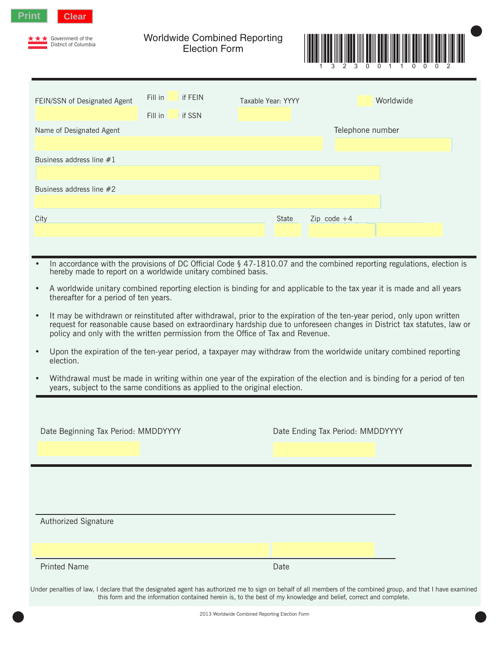

Government of the District of Columbia Worldwide Combined Reporting Election Form



| FEIN/SSN of Designated Agent | Fill in<br>Fill in | if FEIN<br>if SSN | Taxable Year: YYYY |       |                  | Worldwide |
|------------------------------|--------------------|-------------------|--------------------|-------|------------------|-----------|
| Name of Designated Agent     |                    |                   |                    |       | Telephone number |           |
| Business address line #1     |                    |                   |                    |       |                  |           |
| Business address line #2     |                    |                   |                    |       |                  |           |
| City                         |                    |                   |                    | State | Zip code $+4$    |           |
|                              |                    |                   |                    |       |                  |           |

- In accordance with the provisions of DC Official Code § 47-1810.07 and the combined reporting regulations, election is hereby made to report on a worldwide unitary combined basis.
- A worldwide unitary combined reporting election is binding for and applicable to the tax year it is made and all years thereafter for a period of ten years.
- It may be withdrawn or reinstituted after withdrawal, prior to the expiration of the ten-year period, only upon written request for reasonable cause based on extraordinary hardship due to unforeseen changes in District tax statutes, law or policy and only with the written permission from the Office of Tax and Revenue.
- Upon the expiration of the ten-year period, a taxpayer may withdraw from the worldwide unitary combined reporting election.
- Withdrawal must be made in writing within one year of the expiration of the election and is binding for a period of ten years, subject to the same conditions as applied to the original election.

| Date Beginning Tax Period: MMDDYYYY | Date Ending Tax Period: MMDDYYYY |
|-------------------------------------|----------------------------------|
|                                     |                                  |
| Authorized Signature                |                                  |
| <b>Printed Name</b>                 | Date                             |

Under penalties of law, I declare that the designated agent has authorized me to sign on behalf of all members of the combined group, and that I have examined this form and the information contained herein is, to the best of my knowledge and belief, correct and complete.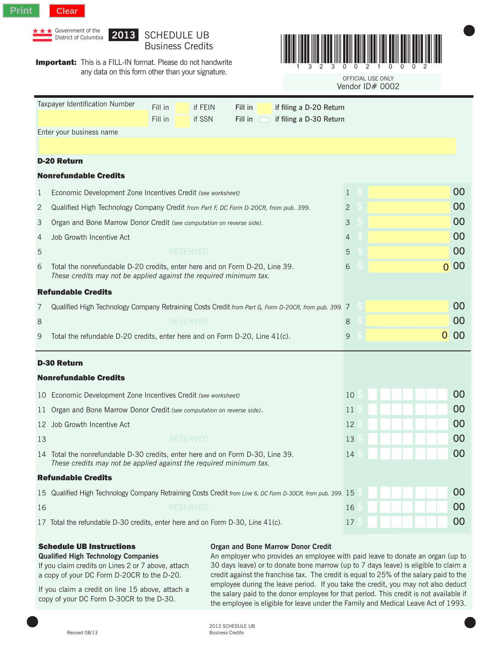

|                | Government of the<br>2013<br><b>SCHEDULE UB</b><br>District of Columbia<br><b>Business Credits</b>                                                            |                                |                                |                                      |  |                      |  |
|----------------|---------------------------------------------------------------------------------------------------------------------------------------------------------------|--------------------------------|--------------------------------|--------------------------------------|--|----------------------|--|
|                | <b>Important:</b> This is a FILL-IN format. Please do not handwrite<br>any data on this form other than your signature.                                       |                                |                                | OFFICIAL USE ONLY<br>Vendor ID# 0002 |  |                      |  |
|                | Taxpayer Identification Number<br>Fill in<br>Fill in<br>if FEIN<br>if filing a D-20 Return                                                                    |                                |                                |                                      |  |                      |  |
|                | Fill in<br>if SSN<br>Fill in<br>if filing a D-30 Return                                                                                                       |                                |                                |                                      |  |                      |  |
|                | Enter your business name                                                                                                                                      |                                |                                |                                      |  |                      |  |
|                |                                                                                                                                                               |                                |                                |                                      |  |                      |  |
|                | <b>D-20 Return</b><br><b>Nonrefundable Credits</b>                                                                                                            |                                |                                |                                      |  |                      |  |
|                |                                                                                                                                                               |                                |                                |                                      |  | 00                   |  |
| 1              | Economic Development Zone Incentives Credit (see worksheet)                                                                                                   | $\mathbf{1}$<br>$\overline{c}$ | $\mathcal{S}$<br>$\mathcal{S}$ |                                      |  | 00                   |  |
| 2<br>3         | Qualified High Technology Company Credit from Part F, DC Form D-20CR, from pub. 399.<br>Organ and Bone Marrow Donor Credit (see computation on reverse side). | $\mathfrak{Z}$                 | S                              |                                      |  | 00                   |  |
| 4              | Job Growth Incentive Act                                                                                                                                      | $\overline{4}$                 | S                              |                                      |  | 00                   |  |
| $\overline{5}$ | <b>RESERVED</b>                                                                                                                                               | 5                              | S                              |                                      |  | 00                   |  |
| 6              | Total the nonrefundable D-20 credits, enter here and on Form D-20, Line 39.<br>These credits may not be applied against the required minimum tax.             | 6                              | £.                             |                                      |  | 00<br>$\overline{0}$ |  |
|                | <b>Refundable Credits</b>                                                                                                                                     |                                |                                |                                      |  |                      |  |
| 7              | Qualified High Technology Company Retraining Costs Credit from Part G, Form D-20CR, from pub. 399. 7                                                          |                                | $\mathcal{S}$                  |                                      |  | 00                   |  |
| 8              | <b>RESERVED</b>                                                                                                                                               | $\,8\,$                        | S                              |                                      |  | 00                   |  |
| 9              | $\overline{0}$<br>S<br>9<br>Total the refundable D-20 credits, enter here and on Form D-20, Line 41(c).                                                       |                                |                                |                                      |  | 00                   |  |
|                | <b>D-30 Return</b>                                                                                                                                            |                                |                                |                                      |  |                      |  |
|                | <b>Nonrefundable Credits</b>                                                                                                                                  |                                |                                |                                      |  |                      |  |
|                | 10 Economic Development Zone Incentives Credit (see worksheet)                                                                                                | 10                             |                                |                                      |  | 00                   |  |
|                | 11 Organ and Bone Marrow Donor Credit (see computation on reverse side).                                                                                      | 11 <sub>5</sub>                |                                |                                      |  | 00                   |  |
|                | 12 Job Growth Incentive Act                                                                                                                                   | 12                             |                                |                                      |  | 00                   |  |
| 13             | <b>RESERVED</b>                                                                                                                                               | 13                             |                                |                                      |  | 00                   |  |
|                | 14 Total the nonrefundable D-30 credits, enter here and on Form D-30, Line 39.<br>These credits may not be applied against the required minimum tax.          | 14                             |                                |                                      |  | 00                   |  |
|                | <b>Refundable Credits</b>                                                                                                                                     |                                |                                |                                      |  |                      |  |
| 15             | Qualified High Technology Company Retraining Costs Credit from Line 6, DC Form D-30CR, from pub. 399. 15                                                      |                                |                                |                                      |  | 00                   |  |
| 16             | <b>RESERVED</b>                                                                                                                                               | 16                             |                                |                                      |  | 00                   |  |
|                | 00<br>17<br>17 Total the refundable D-30 credits, enter here and on Form D-30, Line 41(c).                                                                    |                                |                                |                                      |  |                      |  |

## Schedule UB Instructions

## **Organ and Bone Marrow Donor Credit**

**Qualified High Technology Companies** If you claim credits on Lines 2 or 7 above, attach a copy of your DC Form D-20CR to the D-20.

If you claim a credit on line 15 above, attach a copy of your DC Form D-30CR to the D-30.

An employer who provides an employee with paid leave to donate an organ (up to 30 days leave) or to donate bone marrow (up to 7 days leave) is eligible to claim a credit against the franchise tax. The credit is equal to 25% of the salary paid to the employee during the leave period. If you take the credit, you may not also deduct the salary paid to the donor employee for that period. This credit is not available if the employee is eligible for leave under the Family and Medical Leave Act of 1993.

2013 SCHEDULE UB Revised 08/13 Business Credits